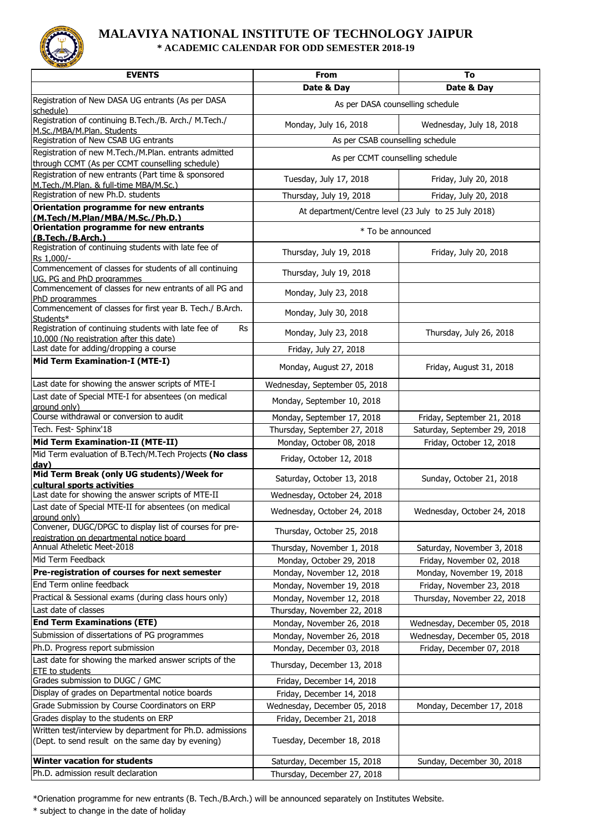

## **MALAVIYA NATIONAL INSTITUTE OF TECHNOLOGY JAIPUR \* ACADEMIC CALENDAR FOR ODD SEMESTER 2018-19**

| <b>EVENTS</b>                                                                                                  | From                                                 | To                           |
|----------------------------------------------------------------------------------------------------------------|------------------------------------------------------|------------------------------|
|                                                                                                                | Date & Day                                           | Date & Day                   |
| Registration of New DASA UG entrants (As per DASA<br>schedule)                                                 | As per DASA counselling schedule                     |                              |
| Registration of continuing B.Tech./B. Arch./ M.Tech./<br>M.Sc./MBA/M.Plan. Students                            | Monday, July 16, 2018                                | Wednesday, July 18, 2018     |
| Registration of New CSAB UG entrants                                                                           | As per CSAB counselling schedule                     |                              |
| Registration of new M.Tech./M.Plan. entrants admitted<br>through CCMT (As per CCMT counselling schedule)       | As per CCMT counselling schedule                     |                              |
| Registration of new entrants (Part time & sponsored                                                            | Tuesday, July 17, 2018                               | Friday, July 20, 2018        |
| M.Tech./M.Plan. & full-time MBA/M.Sc.)<br>Registration of new Ph.D. students                                   |                                                      |                              |
| Orientation programme for new entrants                                                                         | Thursday, July 19, 2018                              | Friday, July 20, 2018        |
| (M.Tech/M.Plan/MBA/M.Sc./Ph.D.)                                                                                | At department/Centre level (23 July to 25 July 2018) |                              |
| Orientation programme for new entrants<br>(B.Tech./B.Arch.)                                                    | * To be announced                                    |                              |
| Registration of continuing students with late fee of<br>Rs 1,000/-                                             | Thursday, July 19, 2018                              | Friday, July 20, 2018        |
| Commencement of classes for students of all continuing<br>UG, PG and PhD programmes                            | Thursday, July 19, 2018                              |                              |
| Commencement of classes for new entrants of all PG and<br>PhD programmes                                       | Monday, July 23, 2018                                |                              |
| Commencement of classes for first year B. Tech./ B.Arch.<br>Students*                                          | Monday, July 30, 2018                                |                              |
| Registration of continuing students with late fee of<br>Rs<br>10,000 (No registration after this date)         | Monday, July 23, 2018                                | Thursday, July 26, 2018      |
| Last date for adding/dropping a course                                                                         | Friday, July 27, 2018                                |                              |
| <b>Mid Term Examination-I (MTE-I)</b>                                                                          | Monday, August 27, 2018                              | Friday, August 31, 2018      |
| Last date for showing the answer scripts of MTE-I                                                              | Wednesday, September 05, 2018                        |                              |
| Last date of Special MTE-I for absentees (on medical<br>around only)                                           | Monday, September 10, 2018                           |                              |
| Course withdrawal or conversion to audit                                                                       | Monday, September 17, 2018                           | Friday, September 21, 2018   |
| Tech. Fest- Sphinx'18                                                                                          | Thursday, September 27, 2018                         | Saturday, September 29, 2018 |
| Mid Term Examination-II (MTE-II)                                                                               | Monday, October 08, 2018                             | Friday, October 12, 2018     |
| Mid Term evaluation of B.Tech/M.Tech Projects (No class<br>day)                                                | Friday, October 12, 2018                             |                              |
| Mid Term Break (only UG students)/Week for<br>cultural sports activities                                       | Saturday, October 13, 2018                           | Sunday, October 21, 2018     |
| Last date for showing the answer scripts of MTE-II                                                             | Wednesday, October 24, 2018                          |                              |
| Last date of Special MTE-II for absentees (on medical<br>around only)                                          | Wednesday, October 24, 2018                          | Wednesday, October 24, 2018  |
| Convener, DUGC/DPGC to display list of courses for pre-<br>registration on departmental notice board           | Thursday, October 25, 2018                           |                              |
| Annual Atheletic Meet-2018                                                                                     | Thursday, November 1, 2018                           | Saturday, November 3, 2018   |
| Mid Term Feedback                                                                                              | Monday, October 29, 2018                             | Friday, November 02, 2018    |
| Pre-registration of courses for next semester                                                                  | Monday, November 12, 2018                            | Monday, November 19, 2018    |
| End Term online feedback                                                                                       | Monday, November 19, 2018                            | Friday, November 23, 2018    |
| Practical & Sessional exams (during class hours only)                                                          | Monday, November 12, 2018                            | Thursday, November 22, 2018  |
| Last date of classes                                                                                           | Thursday, November 22, 2018                          |                              |
| <b>End Term Examinations (ETE)</b>                                                                             | Monday, November 26, 2018                            | Wednesday, December 05, 2018 |
| Submission of dissertations of PG programmes                                                                   | Monday, November 26, 2018                            | Wednesday, December 05, 2018 |
| Ph.D. Progress report submission                                                                               | Monday, December 03, 2018                            | Friday, December 07, 2018    |
| Last date for showing the marked answer scripts of the<br>ETE to students                                      | Thursday, December 13, 2018                          |                              |
| Grades submission to DUGC / GMC                                                                                | Friday, December 14, 2018                            |                              |
| Display of grades on Departmental notice boards                                                                | Friday, December 14, 2018                            |                              |
| Grade Submission by Course Coordinators on ERP                                                                 | Wednesday, December 05, 2018                         | Monday, December 17, 2018    |
| Grades display to the students on ERP                                                                          | Friday, December 21, 2018                            |                              |
| Written test/interview by department for Ph.D. admissions<br>(Dept. to send result on the same day by evening) | Tuesday, December 18, 2018                           |                              |
| <b>Winter vacation for students</b>                                                                            | Saturday, December 15, 2018                          | Sunday, December 30, 2018    |
| Ph.D. admission result declaration                                                                             | Thursday, December 27, 2018                          |                              |

\*Orienation programme for new entrants (B. Tech./B.Arch.) will be announced separately on Institutes Website.

\* subject to change in the date of holiday